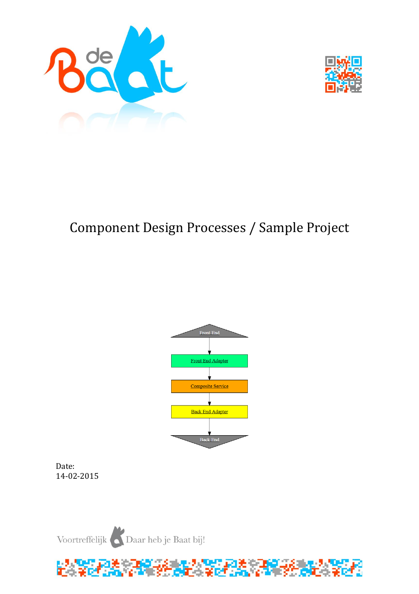



# Component Design Processes / Sample Project



Date: 14-02-2015

Voortreffelijk Daar heb je Baat bij!

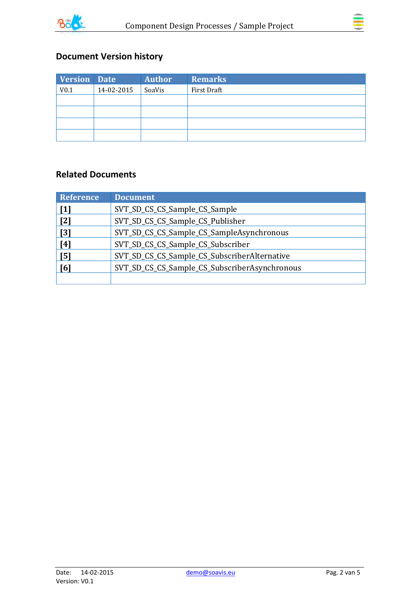



## **Document Version history**

| <b>Version Date</b> |            | <b>Author</b> | <b>Remarks</b> |
|---------------------|------------|---------------|----------------|
| V <sub>0.1</sub>    | 14-02-2015 | SoaVis        | First Draft    |
|                     |            |               |                |
|                     |            |               |                |
|                     |            |               |                |
|                     |            |               |                |

### **Related Documents**

| Reference         | <b>Document</b>                               |
|-------------------|-----------------------------------------------|
| $\lceil 1 \rceil$ | SVT_SD_CS_CS_Sample_CS_Sample                 |
| $\lceil 2 \rceil$ | SVT_SD_CS_CS_Sample_CS_Publisher              |
| $\lceil 3 \rceil$ | SVT_SD_CS_CS_Sample_CS_SampleAsynchronous     |
| [4]               | SVT_SD_CS_CS_Sample_CS_Subscriber             |
| [5]               | SVT_SD_CS_CS_Sample_CS_SubscriberAlternative  |
| [6]               | SVT_SD_CS_CS_Sample_CS_SubscriberAsynchronous |
|                   |                                               |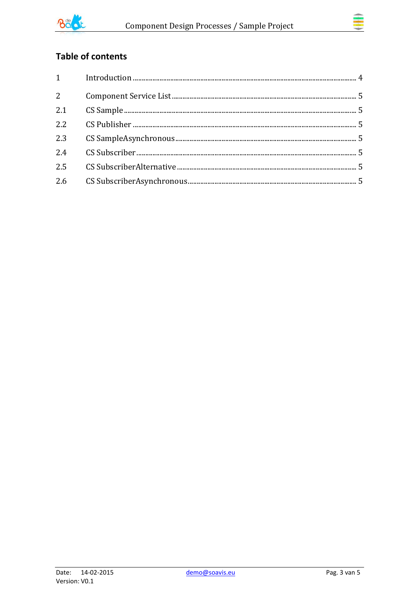



# **Table of contents**

| $2^{\circ}$ |  |
|-------------|--|
| 2.1         |  |
| 2.2         |  |
| 2.3         |  |
| 2.4         |  |
| 2.5         |  |
| 2.6         |  |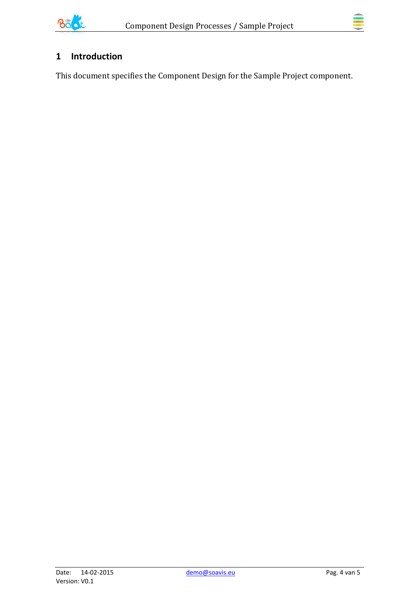



### <span id="page-3-0"></span>**1 Introduction**

This document specifies the Component Design for the Sample Project component.